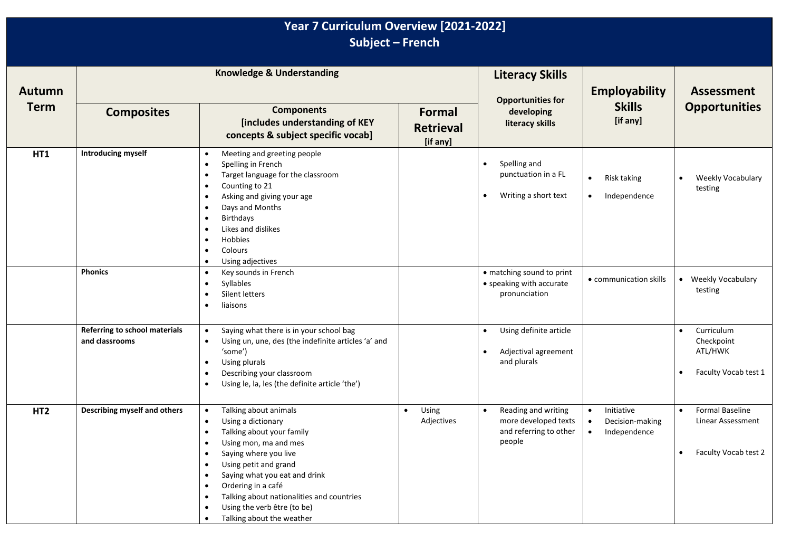| Year 7 Curriculum Overview [2021-2022]<br>Subject - French |                                                 |                                                                                                                                                                                                                                                                                                                                                                         |                                        |                                                                                              |                                                                                      |                                                                                        |  |
|------------------------------------------------------------|-------------------------------------------------|-------------------------------------------------------------------------------------------------------------------------------------------------------------------------------------------------------------------------------------------------------------------------------------------------------------------------------------------------------------------------|----------------------------------------|----------------------------------------------------------------------------------------------|--------------------------------------------------------------------------------------|----------------------------------------------------------------------------------------|--|
| Autumn<br><b>Term</b>                                      | <b>Knowledge &amp; Understanding</b>            |                                                                                                                                                                                                                                                                                                                                                                         |                                        | <b>Literacy Skills</b><br><b>Opportunities for</b>                                           | <b>Employability</b>                                                                 | <b>Assessment</b>                                                                      |  |
|                                                            | <b>Composites</b>                               | <b>Components</b><br>[includes understanding of KEY<br>concepts & subject specific vocab]                                                                                                                                                                                                                                                                               | Formal<br><b>Retrieval</b><br>[if any] | developing<br>literacy skills                                                                | <b>Skills</b><br>[if any]                                                            | <b>Opportunities</b>                                                                   |  |
| HT1                                                        | <b>Introducing myself</b>                       | Meeting and greeting people<br>$\bullet$<br>Spelling in French<br>Target language for the classroom<br>Counting to 21<br>Asking and giving your age<br>Days and Months<br>$\bullet$<br><b>Birthdays</b><br>$\bullet$<br>Likes and dislikes<br>Hobbies<br>$\bullet$<br>Colours<br>$\bullet$<br>Using adjectives<br>$\bullet$                                             |                                        | Spelling and<br>$\bullet$<br>punctuation in a FL<br>Writing a short text<br>$\bullet$        | $\bullet$<br>Risk taking<br>Independence<br>$\bullet$                                | Weekly Vocabulary<br>testing                                                           |  |
|                                                            | <b>Phonics</b>                                  | Key sounds in French<br>$\bullet$<br>Syllables<br>$\bullet$<br>Silent letters<br>liaisons                                                                                                                                                                                                                                                                               |                                        | • matching sound to print<br>• speaking with accurate<br>pronunciation                       | • communication skills                                                               | Weekly Vocabulary<br>testing                                                           |  |
|                                                            | Referring to school materials<br>and classrooms | Saying what there is in your school bag<br>$\bullet$<br>Using un, une, des (the indefinite articles 'a' and<br>$\bullet$<br>'some')<br>Using plurals<br>$\bullet$<br>Describing your classroom<br>Using le, la, les (the definite article 'the')                                                                                                                        |                                        | Using definite article<br>$\bullet$<br>Adjectival agreement<br>$\bullet$<br>and plurals      |                                                                                      | Curriculum<br>$\bullet$<br>Checkpoint<br>ATL/HWK<br>Faculty Vocab test 1<br>$\bullet$  |  |
| HT <sub>2</sub>                                            | Describing myself and others                    | Talking about animals<br>$\bullet$<br>Using a dictionary<br>Talking about your family<br>Using mon, ma and mes<br>Saying where you live<br>$\bullet$<br>Using petit and grand<br>$\bullet$<br>Saying what you eat and drink<br>$\bullet$<br>Ordering in a café<br>Talking about nationalities and countries<br>Using the verb être (to be)<br>Talking about the weather | Using<br>$\bullet$<br>Adjectives       | Reading and writing<br>$\bullet$<br>more developed texts<br>and referring to other<br>people | Initiative<br>$\bullet$<br>Decision-making<br>$\bullet$<br>Independence<br>$\bullet$ | Formal Baseline<br>$\bullet$<br>Linear Assessment<br>Faculty Vocab test 2<br>$\bullet$ |  |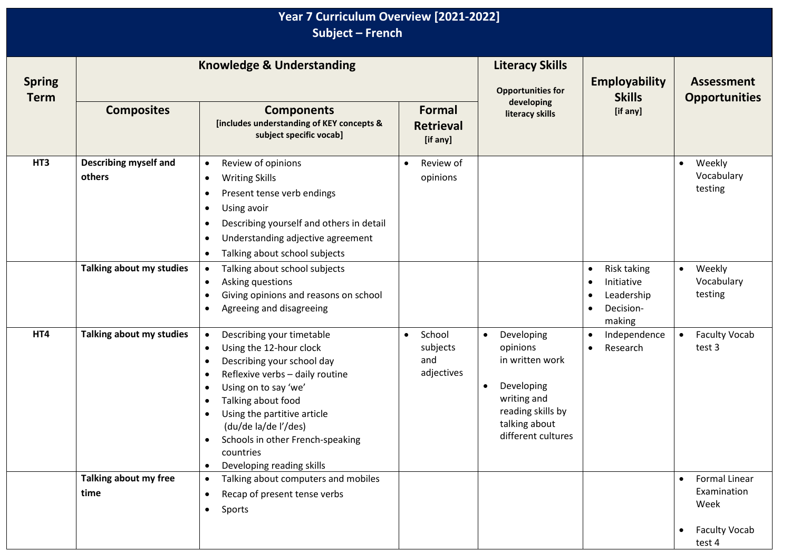| Year 7 Curriculum Overview [2021-2022]<br>Subject - French |                                        |                                                                                                                                                                                                                                                                                                                                                              |                                                      |                                                                                                                                                              |                                                                                                                           |                                                                               |  |
|------------------------------------------------------------|----------------------------------------|--------------------------------------------------------------------------------------------------------------------------------------------------------------------------------------------------------------------------------------------------------------------------------------------------------------------------------------------------------------|------------------------------------------------------|--------------------------------------------------------------------------------------------------------------------------------------------------------------|---------------------------------------------------------------------------------------------------------------------------|-------------------------------------------------------------------------------|--|
| <b>Spring</b><br><b>Term</b>                               | <b>Knowledge &amp; Understanding</b>   |                                                                                                                                                                                                                                                                                                                                                              | <b>Literacy Skills</b><br><b>Opportunities for</b>   | <b>Employability</b><br><b>Skills</b>                                                                                                                        | <b>Assessment</b><br><b>Opportunities</b>                                                                                 |                                                                               |  |
|                                                            | <b>Composites</b>                      | <b>Components</b><br>[includes understanding of KEY concepts &<br>subject specific vocab]                                                                                                                                                                                                                                                                    | Formal<br><b>Retrieval</b><br>[if any]               | developing<br>literacy skills                                                                                                                                | [if any]                                                                                                                  |                                                                               |  |
| HT3                                                        | <b>Describing myself and</b><br>others | Review of opinions<br>$\bullet$<br><b>Writing Skills</b><br>$\bullet$<br>Present tense verb endings<br>٠<br>Using avoir<br>Describing yourself and others in detail<br>$\bullet$<br>Understanding adjective agreement<br>$\bullet$<br>Talking about school subjects<br>$\bullet$                                                                             | Review of<br>$\bullet$<br>opinions                   |                                                                                                                                                              |                                                                                                                           | Weekly<br>$\bullet$<br>Vocabulary<br>testing                                  |  |
|                                                            | Talking about my studies               | Talking about school subjects<br>$\bullet$<br>Asking questions<br>$\bullet$<br>Giving opinions and reasons on school<br>$\bullet$<br>Agreeing and disagreeing                                                                                                                                                                                                |                                                      |                                                                                                                                                              | <b>Risk taking</b><br>$\bullet$<br>Initiative<br>$\bullet$<br>Leadership<br>$\bullet$<br>Decision-<br>$\bullet$<br>making | Weekly<br>$\bullet$<br>Vocabulary<br>testing                                  |  |
| HT4                                                        | Talking about my studies               | Describing your timetable<br>$\bullet$<br>Using the 12-hour clock<br>$\bullet$<br>Describing your school day<br>Reflexive verbs - daily routine<br>$\bullet$<br>Using on to say 'we'<br>Talking about food<br>Using the partitive article<br>(du/de la/de l'/des)<br>Schools in other French-speaking<br>countries<br>Developing reading skills<br>$\bullet$ | School<br>$\bullet$<br>subjects<br>and<br>adjectives | Developing<br>$\bullet$<br>opinions<br>in written work<br>Developing<br>$\bullet$<br>writing and<br>reading skills by<br>talking about<br>different cultures | Independence<br>$\bullet$<br>Research<br>$\bullet$                                                                        | <b>Faculty Vocab</b><br>$\bullet$<br>test 3                                   |  |
|                                                            | Talking about my free<br>time          | Talking about computers and mobiles<br>$\bullet$<br>Recap of present tense verbs<br>$\bullet$<br>Sports<br>$\bullet$                                                                                                                                                                                                                                         |                                                      |                                                                                                                                                              |                                                                                                                           | <b>Formal Linear</b><br>Examination<br>Week<br><b>Faculty Vocab</b><br>test 4 |  |